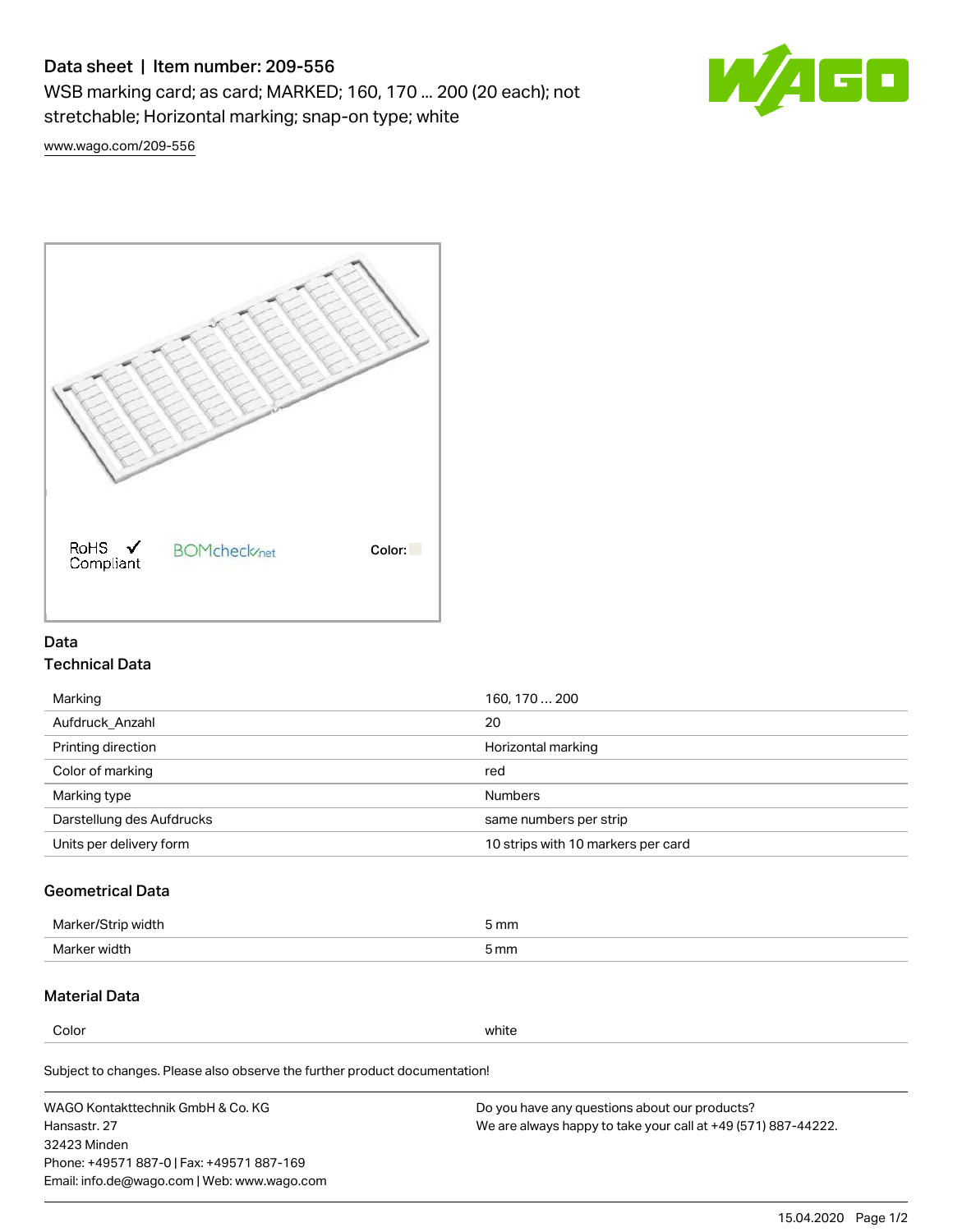# Data sheet | Item number: 209-556

WSB marking card; as card; MARKED; 160, 170 ... 200 (20 each); not stretchable; Horizontal marking; snap-on type; white



[www.wago.com/209-556](http://www.wago.com/209-556)



### Data Technical Data

| 160, 170  200                      |
|------------------------------------|
| 20                                 |
| Horizontal marking                 |
| red                                |
| <b>Numbers</b>                     |
| same numbers per strip             |
| 10 strips with 10 markers per card |
|                                    |

### Geometrical Data

| طلقاء ئ<br><b>Marker</b><br>widtr | ັກmm |
|-----------------------------------|------|
| Marker width                      | 5 mm |

## Material Data

Color white

Subject to changes. Please also observe the further product documentation!

WAGO Kontakttechnik GmbH & Co. KG Hansastr. 27 32423 Minden Phone: +49571 887-0 | Fax: +49571 887-169 Email: info.de@wago.com | Web: www.wago.com Do you have any questions about our products? We are always happy to take your call at +49 (571) 887-44222.